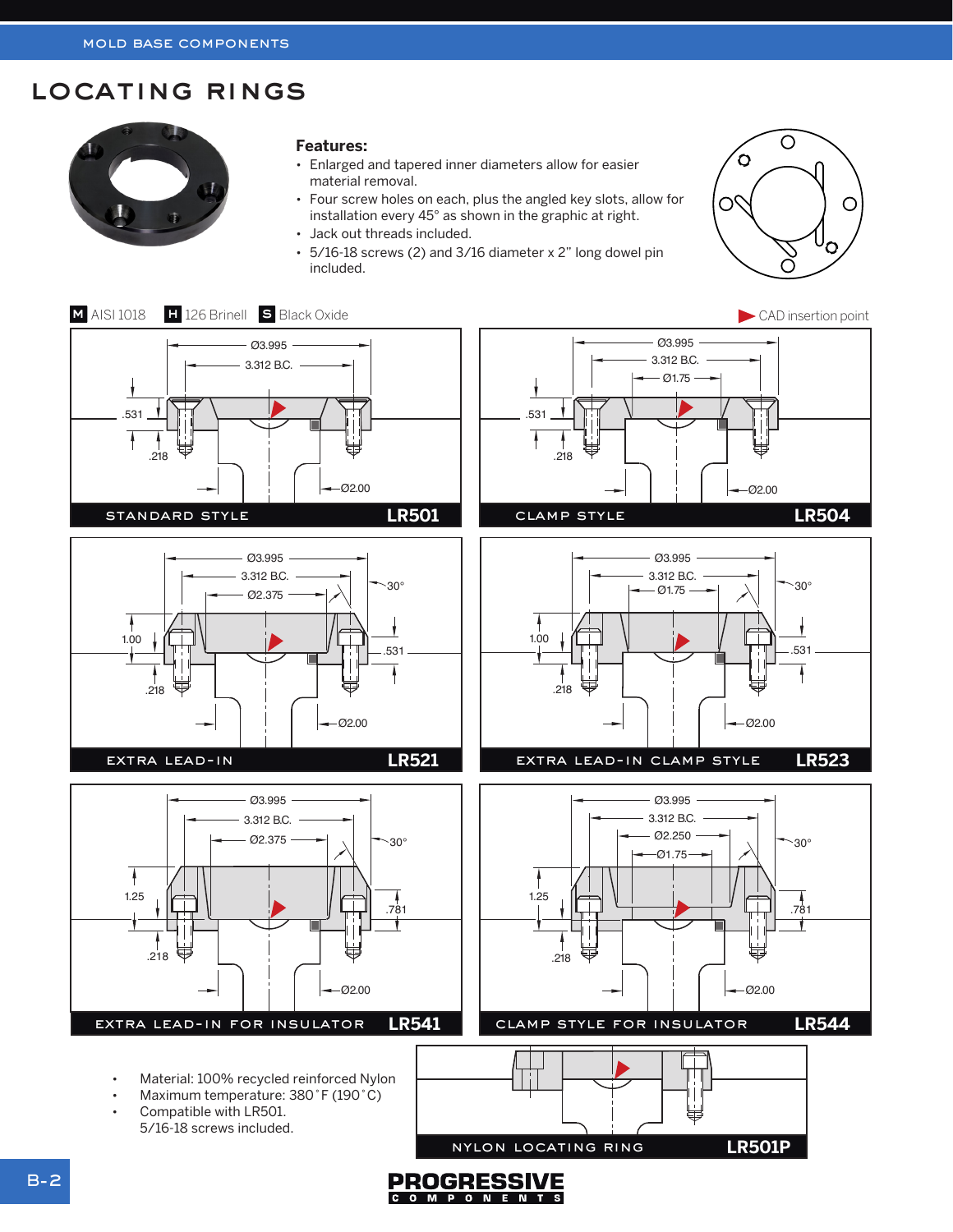# locating rings



### **Features:**

LR501

LR504

Ø2.00

- Enlarged and tapered inner diameters allow for easier material removal.
- Four screw holes on each, plus the angled key slots, allow for installation every 45° as shown in the graphic at right.

.531

- Jack out threads included.
- Ø3.995  $\cdot$  5/16-18 screws (2) and 3/16 diameter x 2" long dowel pin<br>included included.



Ø2.00

Ø2.00



COMPONENTS